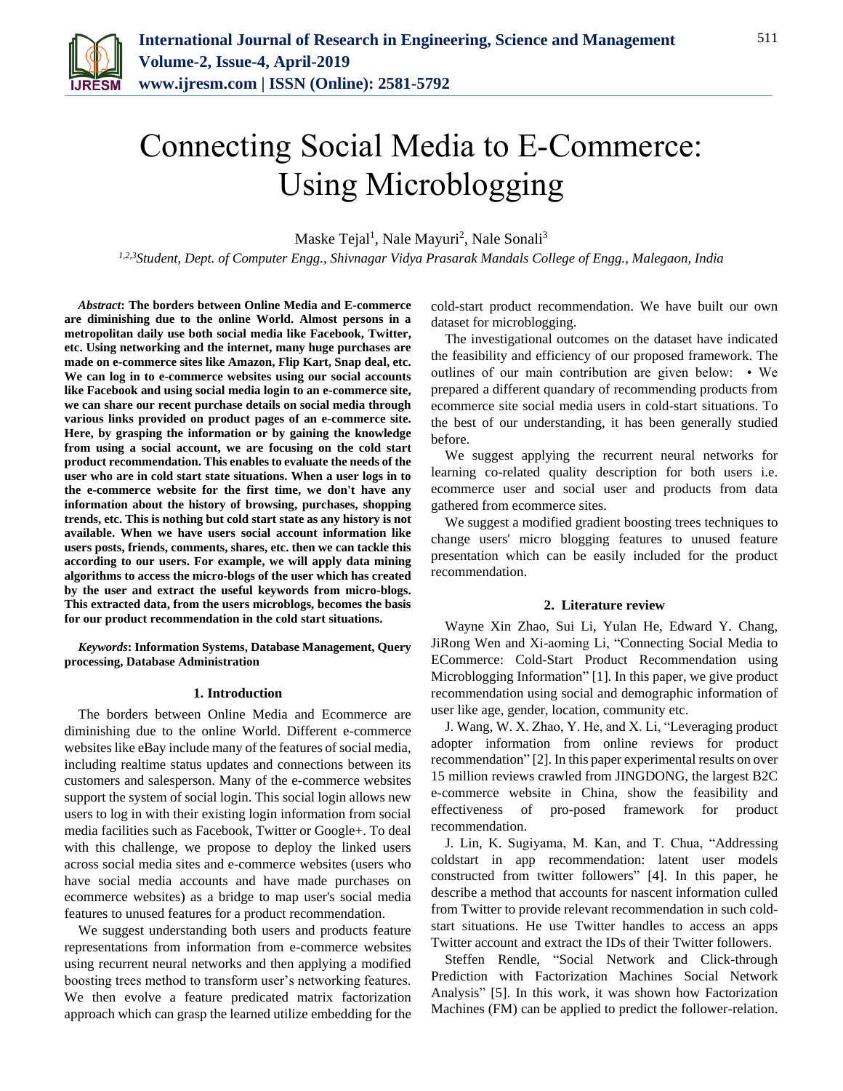

# Connecting Social Media to E-Commerce: Using Microblogging

Maske Tejal<sup>1</sup>, Nale Mayuri<sup>2</sup>, Nale Sonali<sup>3</sup>

*1,2,3Student, Dept. of Computer Engg., Shivnagar Vidya Prasarak Mandals College of Engg., Malegaon, India*

*Abstract***: The borders between Online Media and E-commerce are diminishing due to the online World. Almost persons in a metropolitan daily use both social media like Facebook, Twitter, etc. Using networking and the internet, many huge purchases are made on e-commerce sites like Amazon, Flip Kart, Snap deal, etc. We can log in to e-commerce websites using our social accounts like Facebook and using social media login to an e-commerce site, we can share our recent purchase details on social media through various links provided on product pages of an e-commerce site. Here, by grasping the information or by gaining the knowledge from using a social account, we are focusing on the cold start product recommendation. This enables to evaluate the needs of the user who are in cold start state situations. When a user logs in to the e-commerce website for the first time, we don't have any information about the history of browsing, purchases, shopping trends, etc. This is nothing but cold start state as any history is not available. When we have users social account information like users posts, friends, comments, shares, etc. then we can tackle this according to our users. For example, we will apply data mining algorithms to access the micro-blogs of the user which has created by the user and extract the useful keywords from micro-blogs. This extracted data, from the users microblogs, becomes the basis for our product recommendation in the cold start situations.**

*Keywords***: Information Systems, Database Management, Query processing, Database Administration**

#### **1. Introduction**

The borders between Online Media and Ecommerce are diminishing due to the online World. Different e-commerce websites like eBay include many of the features of social media, including realtime status updates and connections between its customers and salesperson. Many of the e-commerce websites support the system of social login. This social login allows new users to log in with their existing login information from social media facilities such as Facebook, Twitter or Google+. To deal with this challenge, we propose to deploy the linked users across social media sites and e-commerce websites (users who have social media accounts and have made purchases on ecommerce websites) as a bridge to map user's social media features to unused features for a product recommendation.

We suggest understanding both users and products feature representations from information from e-commerce websites using recurrent neural networks and then applying a modified boosting trees method to transform user's networking features. We then evolve a feature predicated matrix factorization approach which can grasp the learned utilize embedding for the

cold-start product recommendation. We have built our own dataset for microblogging.

The investigational outcomes on the dataset have indicated the feasibility and efficiency of our proposed framework. The outlines of our main contribution are given below: • We prepared a different quandary of recommending products from ecommerce site social media users in cold-start situations. To the best of our understanding, it has been generally studied before.

We suggest applying the recurrent neural networks for learning co-related quality description for both users i.e. ecommerce user and social user and products from data gathered from ecommerce sites.

We suggest a modified gradient boosting trees techniques to change users' micro blogging features to unused feature presentation which can be easily included for the product recommendation.

## **2. Literature review**

Wayne Xin Zhao, Sui Li, Yulan He, Edward Y. Chang, JiRong Wen and Xi-aoming Li, "Connecting Social Media to ECommerce: Cold-Start Product Recommendation using Microblogging Information" [1]. In this paper, we give product recommendation using social and demographic information of user like age, gender, location, community etc.

J. Wang, W. X. Zhao, Y. He, and X. Li, "Leveraging product adopter information from online reviews for product recommendation" [2]. In this paper experimental results on over 15 million reviews crawled from JINGDONG, the largest B2C e-commerce website in China, show the feasibility and effectiveness of pro-posed framework for product recommendation.

J. Lin, K. Sugiyama, M. Kan, and T. Chua, "Addressing coldstart in app recommendation: latent user models constructed from twitter followers" [4]. In this paper, he describe a method that accounts for nascent information culled from Twitter to provide relevant recommendation in such coldstart situations. He use Twitter handles to access an apps Twitter account and extract the IDs of their Twitter followers.

Steffen Rendle, "Social Network and Click-through Prediction with Factorization Machines Social Network Analysis" [5]. In this work, it was shown how Factorization Machines (FM) can be applied to predict the follower-relation.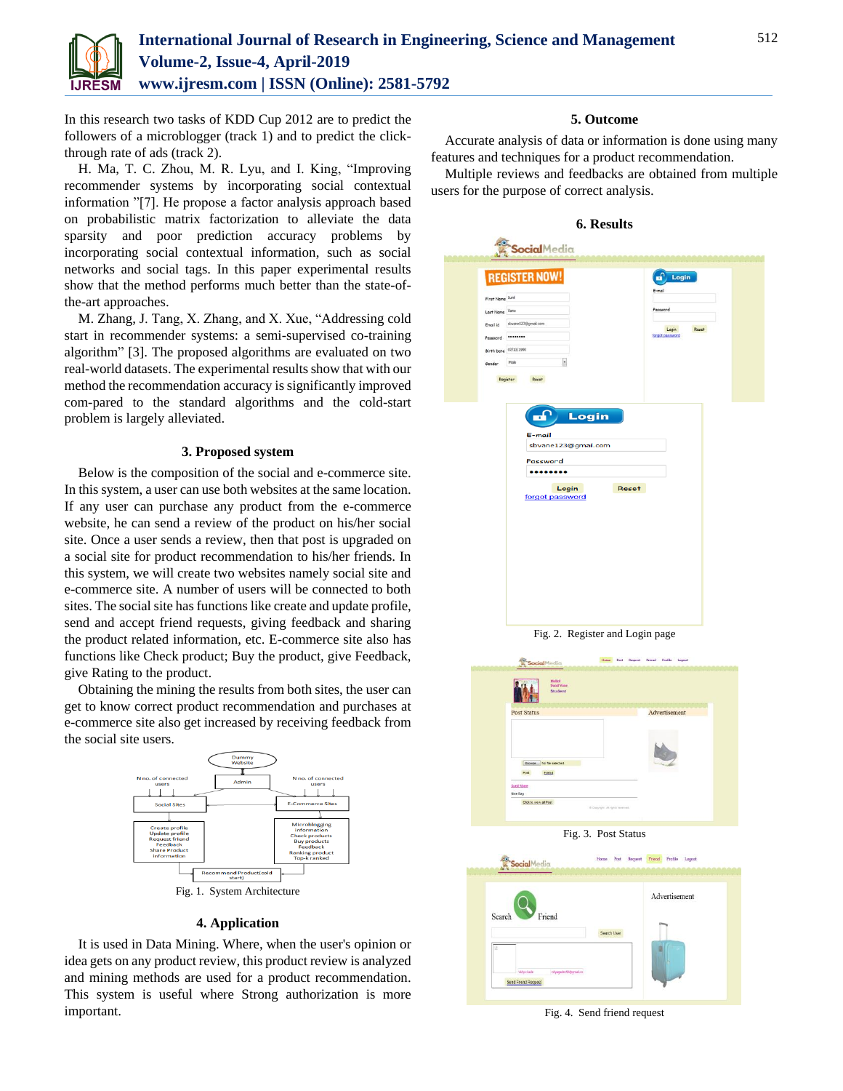

In this research two tasks of KDD Cup 2012 are to predict the followers of a microblogger (track 1) and to predict the clickthrough rate of ads (track 2).

H. Ma, T. C. Zhou, M. R. Lyu, and I. King, "Improving recommender systems by incorporating social contextual information "[7]. He propose a factor analysis approach based on probabilistic matrix factorization to alleviate the data sparsity and poor prediction accuracy problems by incorporating social contextual information, such as social networks and social tags. In this paper experimental results show that the method performs much better than the state-ofthe-art approaches.

M. Zhang, J. Tang, X. Zhang, and X. Xue, "Addressing cold start in recommender systems: a semi-supervised co-training algorithm" [3]. The proposed algorithms are evaluated on two real-world datasets. The experimental results show that with our method the recommendation accuracy is significantly improved com-pared to the standard algorithms and the cold-start problem is largely alleviated.

# **3. Proposed system**

Below is the composition of the social and e-commerce site. In this system, a user can use both websites at the same location. If any user can purchase any product from the e-commerce website, he can send a review of the product on his/her social site. Once a user sends a review, then that post is upgraded on a social site for product recommendation to his/her friends. In this system, we will create two websites namely social site and e-commerce site. A number of users will be connected to both sites. The social site has functions like create and update profile, send and accept friend requests, giving feedback and sharing the product related information, etc. E-commerce site also has functions like Check product; Buy the product, give Feedback, give Rating to the product.

Obtaining the mining the results from both sites, the user can get to know correct product recommendation and purchases at e-commerce site also get increased by receiving feedback from the social site users.



### **4. Application**

It is used in Data Mining. Where, when the user's opinion or idea gets on any product review, this product review is analyzed and mining methods are used for a product recommendation. This system is useful where Strong authorization is more important.

### **5. Outcome**

Accurate analysis of data or information is done using many features and techniques for a product recommendation.

Multiple reviews and feedbacks are obtained from multiple users for the purpose of correct analysis.

|                                | <b>REGISTER NOW!</b>                            | ᠴ<br>Login      |  |
|--------------------------------|-------------------------------------------------|-----------------|--|
| First Name Suni                |                                                 | E-mail          |  |
| Last Name Vane                 |                                                 | Password        |  |
| sbvane123@gmai.com<br>Email id |                                                 | Reset<br>Login  |  |
| <br>Password                   |                                                 | forgot password |  |
| Birth Date 07/13/1990          |                                                 |                 |  |
| Male<br>Gender                 | ٠                                               |                 |  |
| E-mail<br>Password             | sbvane123@gmail.com<br>Login<br>forgot password | Reset           |  |



Fig. 3. Post Status

|                                    | Advertisement |
|------------------------------------|---------------|
| Friend<br>Search                   |               |
|                                    | Search User   |
|                                    |               |
|                                    |               |
| vdyagede156@pmail.cz<br>Vidya Gade |               |
| Send Friend Request                |               |

Fig. 4. Send friend request